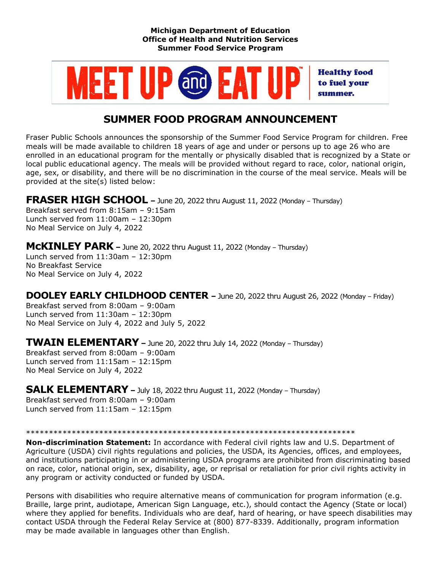#### **Michigan Department of Education Office of Health and Nutrition Services Summer Food Service Program**



# **SUMMER FOOD PROGRAM ANNOUNCEMENT**

Fraser Public Schools announces the sponsorship of the Summer Food Service Program for children. Free meals will be made available to children 18 years of age and under or persons up to age 26 who are enrolled in an educational program for the mentally or physically disabled that is recognized by a State or local public educational agency. The meals will be provided without regard to race, color, national origin, age, sex, or disability, and there will be no discrimination in the course of the meal service. Meals will be provided at the site(s) listed below:

## **FRASER HIGH SCHOOL –** June 20, 2022 thru August 11, 2022 (Monday – Thursday)

Breakfast served from 8:15am – 9:15am Lunch served from  $11:00$ am  $-12:30$ pm No Meal Service on July 4, 2022

**McKINLEY PARK –** June 20, 2022 thru August 11, 2022 (Monday – Thursday) Lunch served from 11:30am – 12:30pm No Breakfast Service No Meal Service on July 4, 2022

### **DOOLEY EARLY CHILDHOOD CENTER –** June 20, 2022 thru August 26, 2022 (Monday – Friday)

Breakfast served from 8:00am – 9:00am Lunch served from 11:30am – 12:30pm No Meal Service on July 4, 2022 and July 5, 2022

**TWAIN ELEMENTARY –** June 20, 2022 thru July 14, 2022 (Monday – Thursday)

Breakfast served from 8:00am – 9:00am Lunch served from 11:15am – 12:15pm No Meal Service on July 4, 2022

**SALK ELEMENTARY –** July 18, 2022 thru August 11, 2022 (Monday – Thursday) Breakfast served from 8:00am – 9:00am Lunch served from 11:15am – 12:15pm

### \*\*\*\*\*\*\*\*\*\*\*\*\*\*\*\*\*\*\*\*\*\*\*\*\*\*\*\*\*\*\*\*\*\*\*\*\*\*\*\*\*\*\*\*\*\*\*\*\*\*\*\*\*\*\*\*\*\*\*\*\*\*\*\*\*\*\*\*\*\*\*\*

**Non-discrimination Statement:** In accordance with Federal civil rights law and U.S. Department of Agriculture (USDA) civil rights regulations and policies, the USDA, its Agencies, offices, and employees, and institutions participating in or administering USDA programs are prohibited from discriminating based on race, color, national origin, sex, disability, age, or reprisal or retaliation for prior civil rights activity in any program or activity conducted or funded by USDA.

Persons with disabilities who require alternative means of communication for program information (e.g. Braille, large print, audiotape, American Sign Language, etc.), should contact the Agency (State or local) where they applied for benefits. Individuals who are deaf, hard of hearing, or have speech disabilities may contact USDA through the Federal Relay Service at (800) 877-8339. Additionally, program information may be made available in languages other than English.